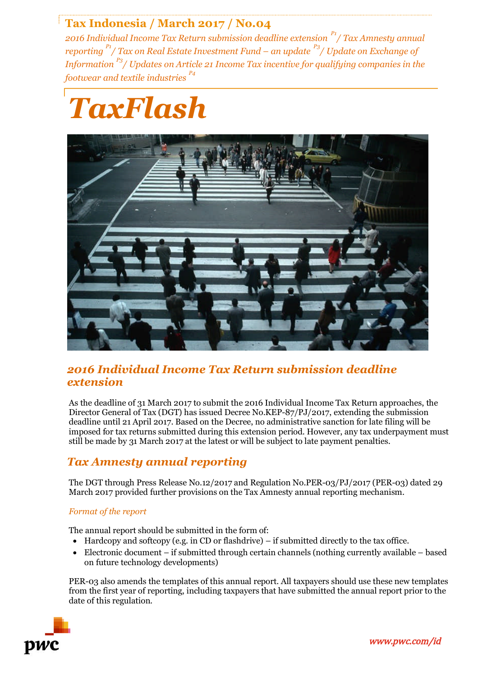# **Tax Indonesia / March 2017 / No.04**

*2016 Individual Income Tax Return submission deadline extension P1/ Tax Amnesty annual reporting P1/ Tax on Real Estate Investment Fund – an update P3/ Update on Exchange of Information P3/ Updates on Article 21 Income Tax incentive for qualifying companies in the footwear and textile industries P4*

# *TaxFlash*



### *2016 Individual Income Tax Return submission deadline extension*

As the deadline of 31 March 2017 to submit the 2016 Individual Income Tax Return approaches, the Director General of Tax (DGT) has issued Decree No.KEP-87/PJ/2017, extending the submission deadline until 21 April 2017. Based on the Decree, no administrative sanction for late filing will be imposed for tax returns submitted during this extension period. However, any tax underpayment must still be made by 31 March 2017 at the latest or will be subject to late payment penalties.

## *Tax Amnesty annual reporting*

The DGT through Press Release No.12/2017 and Regulation No.PER-03/PJ/2017 (PER-03) dated 29 March 2017 provided further provisions on the Tax Amnesty annual reporting mechanism.

#### *Format of the report*

The annual report should be submitted in the form of:

- Hardcopy and softcopy (e.g. in CD or flashdrive) if submitted directly to the tax office.
- Electronic document if submitted through certain channels (nothing currently available based on future technology developments)

PER-03 also amends the templates of this annual report. All taxpayers should use these new templates from the first year of reporting, including taxpayers that have submitted the annual report prior to the date of this regulation.



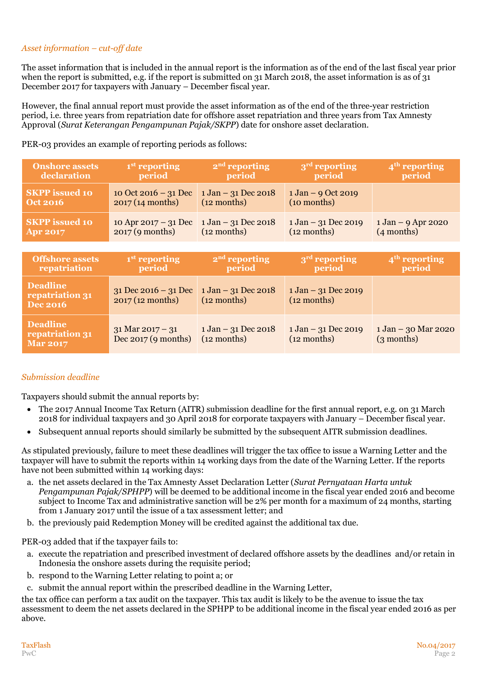#### *Asset information – cut-off date*

The asset information that is included in the annual report is the information as of the end of the last fiscal year prior when the report is submitted, e.g. if the report is submitted on 31 March 2018, the asset information is as of 31 December 2017 for taxpayers with January – December fiscal year.

However, the final annual report must provide the asset information as of the end of the three-year restriction period, i.e. three years from repatriation date for offshore asset repatriation and three years from Tax Amnesty Approval (*Surat Keterangan Pengampunan Pajak/SKPP*) date for onshore asset declaration.

PER-03 provides an example of reporting periods as follows:

| <b>Onshore assets</b> | 1 <sup>st</sup> reporting                                    | $2nd$ reporting                        | $3rd$ reporting                        | $\mathbf{4}^{\text{th}}$ reporting   |
|-----------------------|--------------------------------------------------------------|----------------------------------------|----------------------------------------|--------------------------------------|
| declaration           | period                                                       | period                                 | period                                 | period                               |
| <b>SKPP</b> issued 10 | 10 Oct 2016 – 31 Dec                                         | $1 \text{ Jan} - 31 \text{ Dec } 2018$ | $1 \text{ Jan} - 9 \text{ Oct} 2019$   |                                      |
| Oct 2016              | 2017(14 months)                                              | $(12$ months)                          | (10 months)                            |                                      |
| <b>SKPP</b> issued 10 | 10 Apr 2017 – 31 Dec   $1 \text{ Jan} - 31 \text{ Dec}$ 2018 | $(12$ months)                          | $1 \text{ Jan} - 31 \text{ Dec } 2019$ | $1 \text{ Jan} - 9 \text{ Apr}$ 2020 |
| <b>Apr 2017</b>       | 2017 (9 months)                                              |                                        | $(12$ months)                          | (4 months)                           |

| <b>Offshore assets</b><br>repatriation                | 1 <sup>st</sup> reporting<br>period           | $2nd$ reporting<br>period                               | 3 <sup>rd</sup> reporting<br>period                     | $4th$ reporting<br>period           |
|-------------------------------------------------------|-----------------------------------------------|---------------------------------------------------------|---------------------------------------------------------|-------------------------------------|
| <b>Deadline</b><br>repatriation 31<br><b>Dec 2016</b> | $31$ Dec 2016 – $31$ Dec<br>2017 (12 months)  | $1 \text{ Jan} - 31 \text{ Dec } 2018$<br>$(12$ months) | $1 \text{ Jan} - 31 \text{ Dec } 2019$<br>$(12$ months) |                                     |
| <b>Deadline</b><br>repatriation 31<br><b>Mar 2017</b> | $31$ Mar $2017 - 31$<br>Dec $2017$ (9 months) | $1 \text{ Jan} - 31 \text{ Dec } 2018$<br>$(12$ months) | $1 \text{ Jan} - 31 \text{ Dec } 2019$<br>$(12$ months) | 1 Jan - 30 Mar 2020<br>$(3$ months) |

#### *Submission deadline*

Taxpayers should submit the annual reports by:

- The 2017 Annual Income Tax Return (AITR) submission deadline for the first annual report, e.g. on 31 March 2018 for individual taxpayers and 30 April 2018 for corporate taxpayers with January – December fiscal year.
- Subsequent annual reports should similarly be submitted by the subsequent AITR submission deadlines.

As stipulated previously, failure to meet these deadlines will trigger the tax office to issue a Warning Letter and the taxpayer will have to submit the reports within 14 working days from the date of the Warning Letter. If the reports have not been submitted within 14 working days:

- a. the net assets declared in the Tax Amnesty Asset Declaration Letter (*Surat Pernyataan Harta untuk Pengampunan Pajak/SPHPP*) will be deemed to be additional income in the fiscal year ended 2016 and become subject to Income Tax and administrative sanction will be 2% per month for a maximum of 24 months, starting from 1 January 2017 until the issue of a tax assessment letter; and
- b. the previously paid Redemption Money will be credited against the additional tax due.

PER-03 added that if the taxpayer fails to:

- a. execute the repatriation and prescribed investment of declared offshore assets by the deadlines and/or retain in Indonesia the onshore assets during the requisite period;
- b. respond to the Warning Letter relating to point a; or
- c. submit the annual report within the prescribed deadline in the Warning Letter,

the tax office can perform a tax audit on the taxpayer. This tax audit is likely to be the avenue to issue the tax assessment to deem the net assets declared in the SPHPP to be additional income in the fiscal year ended 2016 as per above.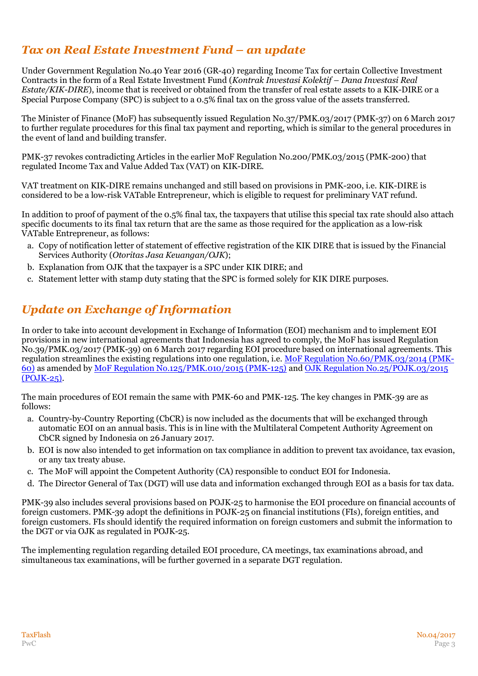# *Tax on Real Estate Investment Fund – an update*

Under Government Regulation No.40 Year 2016 (GR-40) regarding Income Tax for certain Collective Investment Contracts in the form of a Real Estate Investment Fund (*Kontrak Investasi Kolektif – Dana Investasi Real Estate/KIK-DIRE*), income that is received or obtained from the transfer of real estate assets to a KIK-DIRE or a Special Purpose Company (SPC) is subject to a 0.5% final tax on the gross value of the assets transferred.

The Minister of Finance (MoF) has subsequently issued Regulation No.37/PMK.03/2017 (PMK-37) on 6 March 2017 to further regulate procedures for this final tax payment and reporting, which is similar to the general procedures in the event of land and building transfer.

PMK-37 revokes contradicting Articles in the earlier MoF Regulation No.200/PMK.03/2015 (PMK-200) that regulated Income Tax and Value Added Tax (VAT) on KIK-DIRE.

VAT treatment on KIK-DIRE remains unchanged and still based on provisions in PMK-200, i.e. KIK-DIRE is considered to be a low-risk VATable Entrepreneur, which is eligible to request for preliminary VAT refund.

In addition to proof of payment of the 0.5% final tax, the taxpayers that utilise this special tax rate should also attach specific documents to its final tax return that are the same as those required for the application as a low-risk VATable Entrepreneur, as follows:

- a. Copy of notification letter of statement of effective registration of the KIK DIRE that is issued by the Financial Services Authority (*Otoritas Jasa Keuangan/OJK*);
- b. Explanation from OJK that the taxpayer is a SPC under KIK DIRE; and
- c. Statement letter with stamp duty stating that the SPC is formed solely for KIK DIRE purposes.

# *Update on Exchange of Information*

In order to take into account development in Exchange of Information (EOI) mechanism and to implement EOI provisions in new international agreements that Indonesia has agreed to comply, the MoF has issued Regulation No.39/PMK.03/2017 (PMK-39) on 6 March 2017 regarding EOI procedure based on international agreements. This regulation streamlines the existing regulations into one regulation, i.e. [MoF Regulation No.60/PMK.03/2014](http://www.pwc.com/id/en/taxflash/assets/taxflash_2014-07.pdf) (PMK-60) as amended by [MoF Regulation No.125/PMK.010/2015 \(PMK-125\)](http://www.pwc.com/id/en/taxflash/assets/english/2015/taxflash-2015-22.pdf) and [OJK Regulation No.25/POJK.03/2015](http://www.pwc.com/id/en/taxflash/assets/english/2016/taxflash-2016--02-r.pdf) (POJK-25).

The main procedures of EOI remain the same with PMK-60 and PMK-125. The key changes in PMK-39 are as follows:

- a. Country-by-Country Reporting (CbCR) is now included as the documents that will be exchanged through automatic EOI on an annual basis. This is in line with the Multilateral Competent Authority Agreement on CbCR signed by Indonesia on 26 January 2017.
- b. EOI is now also intended to get information on tax compliance in addition to prevent tax avoidance, tax evasion, or any tax treaty abuse.
- c. The MoF will appoint the Competent Authority (CA) responsible to conduct EOI for Indonesia.
- d. The Director General of Tax (DGT) will use data and information exchanged through EOI as a basis for tax data.

PMK-39 also includes several provisions based on POJK-25 to harmonise the EOI procedure on financial accounts of foreign customers. PMK-39 adopt the definitions in POJK-25 on financial institutions (FIs), foreign entities, and foreign customers. FIs should identify the required information on foreign customers and submit the information to the DGT or via OJK as regulated in POJK-25.

The implementing regulation regarding detailed EOI procedure, CA meetings, tax examinations abroad, and simultaneous tax examinations, will be further governed in a separate DGT regulation.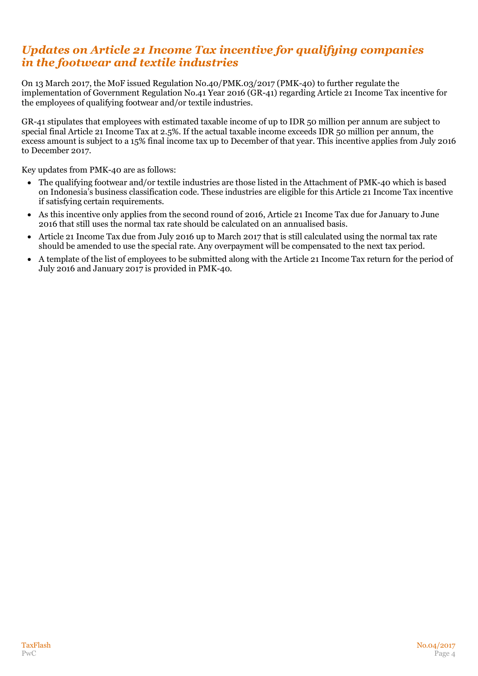## *Updates on Article 21 Income Tax incentive for qualifying companies in the footwear and textile industries*

On 13 March 2017, the MoF issued Regulation No.40/PMK.03/2017 (PMK-40) to further regulate the implementation of Government Regulation No.41 Year 2016 (GR-41) regarding Article 21 Income Tax incentive for the employees of qualifying footwear and/or textile industries.

GR-41 stipulates that employees with estimated taxable income of up to IDR 50 million per annum are subject to special final Article 21 Income Tax at 2.5%. If the actual taxable income exceeds IDR 50 million per annum, the excess amount is subject to a 15% final income tax up to December of that year. This incentive applies from July 2016 to December 2017.

Key updates from PMK-40 are as follows:

- The qualifying footwear and/or textile industries are those listed in the Attachment of PMK-40 which is based on Indonesia's business classification code. These industries are eligible for this Article 21 Income Tax incentive if satisfying certain requirements.
- As this incentive only applies from the second round of 2016, Article 21 Income Tax due for January to June 2016 that still uses the normal tax rate should be calculated on an annualised basis.
- Article 21 Income Tax due from July 2016 up to March 2017 that is still calculated using the normal tax rate should be amended to use the special rate. Any overpayment will be compensated to the next tax period.
- A template of the list of employees to be submitted along with the Article 21 Income Tax return for the period of July 2016 and January 2017 is provided in PMK-40.